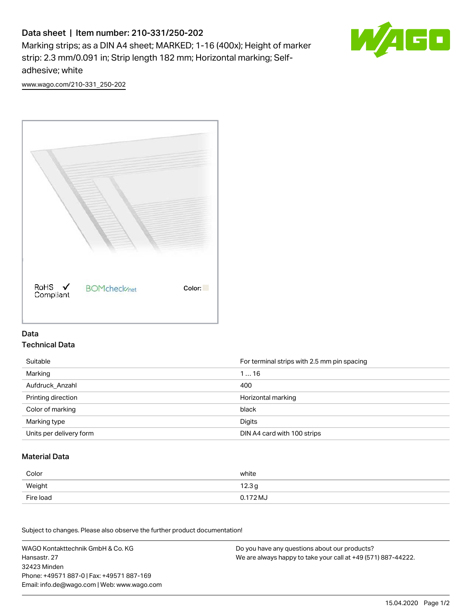# Data sheet | Item number: 210-331/250-202

Marking strips; as a DIN A4 sheet; MARKED; 1-16 (400x); Height of marker strip: 2.3 mm/0.091 in; Strip length 182 mm; Horizontal marking; Selfadhesive; white



[www.wago.com/210-331\\_250-202](http://www.wago.com/210-331_250-202)



#### Data Technical Data

| Suitable                | For terminal strips with 2.5 mm pin spacing |
|-------------------------|---------------------------------------------|
| Marking                 | 116                                         |
| Aufdruck Anzahl         | 400                                         |
| Printing direction      | Horizontal marking                          |
| Color of marking        | black                                       |
| Marking type            | Digits                                      |
| Units per delivery form | DIN A4 card with 100 strips                 |

#### Material Data

| Color     | white  |
|-----------|--------|
| Weight    | 12.3g  |
| Fire load | 0.172M |

Subject to changes. Please also observe the further product documentation!

WAGO Kontakttechnik GmbH & Co. KG Hansastr. 27 32423 Minden Phone: +49571 887-0 | Fax: +49571 887-169 Email: info.de@wago.com | Web: www.wago.com Do you have any questions about our products? We are always happy to take your call at +49 (571) 887-44222.